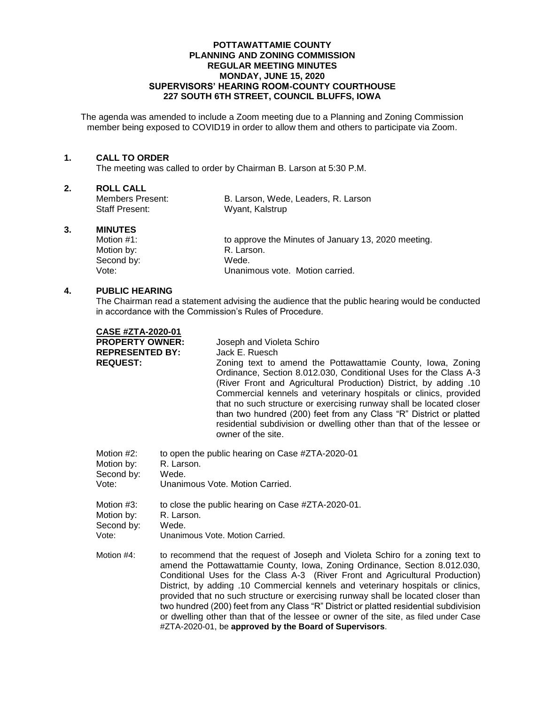### **POTTAWATTAMIE COUNTY PLANNING AND ZONING COMMISSION REGULAR MEETING MINUTES MONDAY, JUNE 15, 2020 SUPERVISORS' HEARING ROOM-COUNTY COURTHOUSE 227 SOUTH 6TH STREET, COUNCIL BLUFFS, IOWA**

The agenda was amended to include a Zoom meeting due to a Planning and Zoning Commission member being exposed to COVID19 in order to allow them and others to participate via Zoom.

### **1. CALL TO ORDER**

The meeting was called to order by Chairman B. Larson at 5:30 P.M.

### **2. ROLL CALL**

Staff Present: Wyant, Kalstrup

Members Present: B. Larson, Wede, Leaders, R. Larson

### **3. MINUTES**

Motion #1: to approve the Minutes of January 13, 2020 meeting.<br>Motion by: The Motion of R. Larson. Motion by: R. Lars<br>
Second by: Second by: Second by: Vote: Unanimous vote. Motion carried.

### **4. PUBLIC HEARING**

The Chairman read a statement advising the audience that the public hearing would be conducted in accordance with the Commission's Rules of Procedure.

|  | <b>CASE #ZTA-2020-01</b> |  |  |
|--|--------------------------|--|--|
|  | <b>DRADERTY AWNER.</b>   |  |  |

**PROPERTY OWNER:** Joseph and Violeta Schiro **REPRESENTED BY:** Jack E. Ruesch **REQUEST:** Zoning text to amend the Pottawattamie County, Iowa, Zoning Ordinance, Section 8.012.030, Conditional Uses for the Class A-3 (River Front and Agricultural Production) District, by adding .10 Commercial kennels and veterinary hospitals or clinics, provided that no such structure or exercising runway shall be located closer than two hundred (200) feet from any Class "R" District or platted residential subdivision or dwelling other than that of the lessee or owner of the site.

Motion #2: to open the public hearing on Case #ZTA-2020-01

Motion by: R. Larson.

Second by: Wede.

Vote: Unanimous Vote. Motion Carried.

Motion #3: to close the public hearing on Case #ZTA-2020-01.

Motion by: R. Larson. Second by: Wede.

Vote: Unanimous Vote. Motion Carried.

Motion #4: to recommend that the request of Joseph and Violeta Schiro for a zoning text to amend the Pottawattamie County, Iowa, Zoning Ordinance, Section 8.012.030, Conditional Uses for the Class A-3 (River Front and Agricultural Production) District, by adding .10 Commercial kennels and veterinary hospitals or clinics, provided that no such structure or exercising runway shall be located closer than two hundred (200) feet from any Class "R" District or platted residential subdivision or dwelling other than that of the lessee or owner of the site, as filed under Case #ZTA-2020-01, be **approved by the Board of Supervisors**.